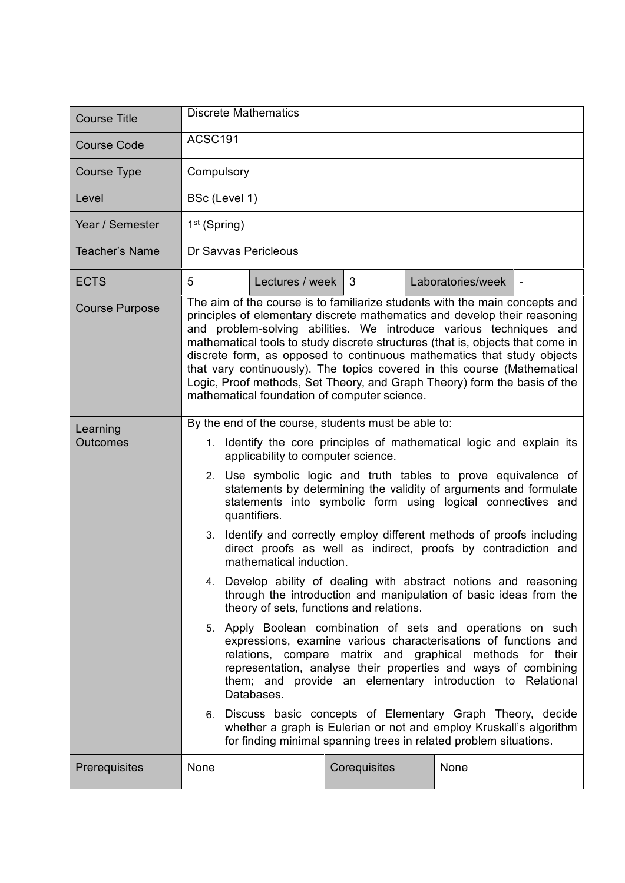| <b>Course Title</b>         | <b>Discrete Mathematics</b>                                                                                                                                                                                                                                                                                                                                                                                                                                                                                                                                                                                                                                                                                                                                                                                                                                                                                                                                                                                                                                                                                                                                                                                                                    |                 |              |  |                   |  |
|-----------------------------|------------------------------------------------------------------------------------------------------------------------------------------------------------------------------------------------------------------------------------------------------------------------------------------------------------------------------------------------------------------------------------------------------------------------------------------------------------------------------------------------------------------------------------------------------------------------------------------------------------------------------------------------------------------------------------------------------------------------------------------------------------------------------------------------------------------------------------------------------------------------------------------------------------------------------------------------------------------------------------------------------------------------------------------------------------------------------------------------------------------------------------------------------------------------------------------------------------------------------------------------|-----------------|--------------|--|-------------------|--|
| <b>Course Code</b>          | ACSC191                                                                                                                                                                                                                                                                                                                                                                                                                                                                                                                                                                                                                                                                                                                                                                                                                                                                                                                                                                                                                                                                                                                                                                                                                                        |                 |              |  |                   |  |
| Course Type                 | Compulsory                                                                                                                                                                                                                                                                                                                                                                                                                                                                                                                                                                                                                                                                                                                                                                                                                                                                                                                                                                                                                                                                                                                                                                                                                                     |                 |              |  |                   |  |
| Level                       | BSc (Level 1)                                                                                                                                                                                                                                                                                                                                                                                                                                                                                                                                                                                                                                                                                                                                                                                                                                                                                                                                                                                                                                                                                                                                                                                                                                  |                 |              |  |                   |  |
| Year / Semester             | $1st$ (Spring)                                                                                                                                                                                                                                                                                                                                                                                                                                                                                                                                                                                                                                                                                                                                                                                                                                                                                                                                                                                                                                                                                                                                                                                                                                 |                 |              |  |                   |  |
| <b>Teacher's Name</b>       | Dr Savvas Pericleous                                                                                                                                                                                                                                                                                                                                                                                                                                                                                                                                                                                                                                                                                                                                                                                                                                                                                                                                                                                                                                                                                                                                                                                                                           |                 |              |  |                   |  |
| <b>ECTS</b>                 | 5                                                                                                                                                                                                                                                                                                                                                                                                                                                                                                                                                                                                                                                                                                                                                                                                                                                                                                                                                                                                                                                                                                                                                                                                                                              | Lectures / week | -3           |  | Laboratories/week |  |
| <b>Course Purpose</b>       | The aim of the course is to familiarize students with the main concepts and<br>principles of elementary discrete mathematics and develop their reasoning<br>and problem-solving abilities. We introduce various techniques and<br>mathematical tools to study discrete structures (that is, objects that come in<br>discrete form, as opposed to continuous mathematics that study objects<br>that vary continuously). The topics covered in this course (Mathematical<br>Logic, Proof methods, Set Theory, and Graph Theory) form the basis of the<br>mathematical foundation of computer science.                                                                                                                                                                                                                                                                                                                                                                                                                                                                                                                                                                                                                                            |                 |              |  |                   |  |
| Learning<br><b>Outcomes</b> | By the end of the course, students must be able to:<br>1. Identify the core principles of mathematical logic and explain its<br>applicability to computer science.<br>2. Use symbolic logic and truth tables to prove equivalence of<br>statements by determining the validity of arguments and formulate<br>statements into symbolic form using logical connectives and<br>quantifiers.<br>3. Identify and correctly employ different methods of proofs including<br>direct proofs as well as indirect, proofs by contradiction and<br>mathematical induction.<br>4. Develop ability of dealing with abstract notions and reasoning<br>through the introduction and manipulation of basic ideas from the<br>theory of sets, functions and relations.<br>5. Apply Boolean combination of sets and operations on such<br>expressions, examine various characterisations of functions and<br>relations, compare matrix and graphical<br>methods for their<br>representation, analyse their properties and ways of combining<br>them; and provide an elementary introduction to Relational<br>Databases.<br>Discuss basic concepts of Elementary Graph Theory, decide<br>6.<br>whether a graph is Eulerian or not and employ Kruskall's algorithm |                 |              |  |                   |  |
| Prerequisites               | None                                                                                                                                                                                                                                                                                                                                                                                                                                                                                                                                                                                                                                                                                                                                                                                                                                                                                                                                                                                                                                                                                                                                                                                                                                           |                 | Corequisites |  | None              |  |